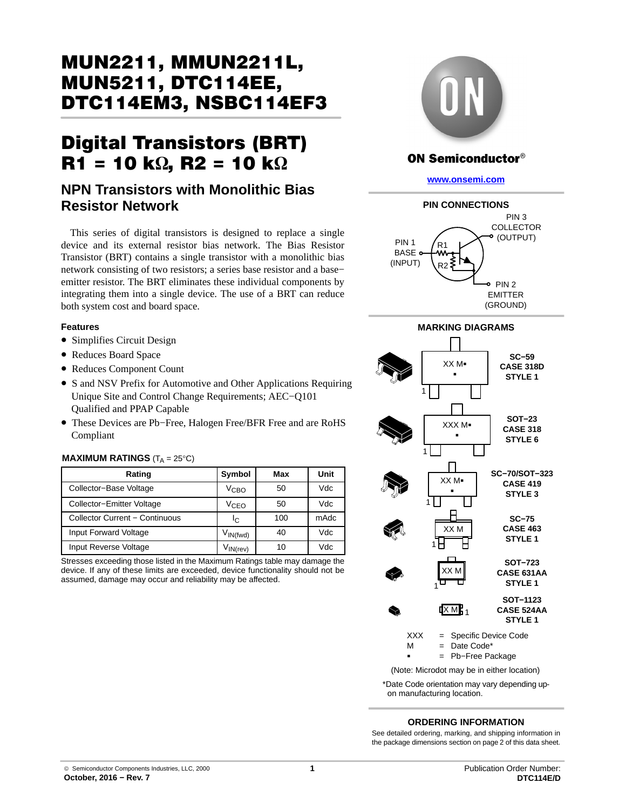# MUN2211, MMUN2211L, DTC114EM3, NSBC114EF3 DTC114EM3, NSBC114EF3

# $\overline{R1}$  = 10 k $\Omega$ ,  $\overline{R2}$  = 10 k $\Omega$

# **NPN Transistors with Monolithic Bias Resistor Network**

This series of digital transistors is designed to replace a single device and its external resistor bias network. The Bias Resistor Transistor (BRT) contains a single transistor with a monolithic bias network consisting of two resistors; a series base resistor and a base− emitter resistor. The BRT eliminates these individual components by integrating them into a single device. The use of a BRT can reduce both system cost and board space.

#### **Features**

- Simplifies Circuit Design
- Reduces Board Space
- Reduces Component Count
- S and NSV Prefix for Automotive and Other Applications Requiring Unique Site and Control Change Requirements; AEC−Q101 Qualified and PPAP Capable
- These Devices are Pb−Free, Halogen Free/BFR Free and are RoHS Compliant

#### **MAXIMUM RATINGS**  $(T_A = 25^{\circ}C)$

| Rating                         | Symbol                          | Max | Unit |
|--------------------------------|---------------------------------|-----|------|
| Collector-Base Voltage         | V <sub>CBO</sub>                | 50  | Vdc  |
| Collector-Emitter Voltage      | V <sub>CEO</sub>                | 50  | Vdc  |
| Collector Current - Continuous | Ιc                              | 100 | mAdc |
| Input Forward Voltage          | $V_{IN(fwd)}$                   | 40  | Vdc  |
| Input Reverse Voltage          | $V_{\mathsf{IN}(\mathsf{rev})}$ | 10  | Vdc  |

Stresses exceeding those listed in the Maximum Ratings table may damage the device. If any of these limits are exceeded, device functionality should not be assumed, damage may occur and reliability may be affected.



#### **ON Semiconductor®**

**[www.onsemi.com](http://www.onsemi.com/)**





(Note: Microdot may be in either location)

\*Date Code orientation may vary depending upon manufacturing location.

#### **ORDERING INFORMATION**

See detailed ordering, marking, and shipping information in the package dimensions section on page [2](#page-1-0) of this data sheet.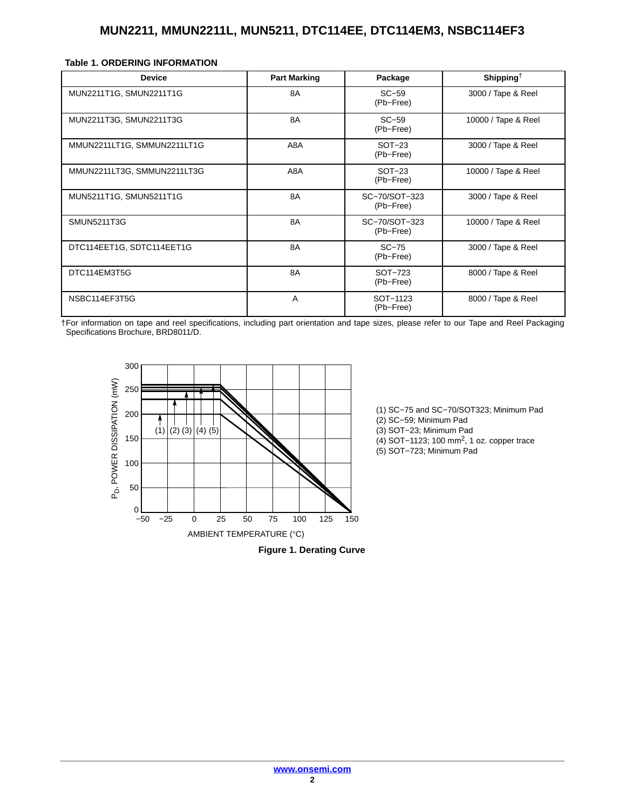<span id="page-1-0"></span>

|  |  |  | Table 1. ORDERING INFORMATION |  |
|--|--|--|-------------------------------|--|
|--|--|--|-------------------------------|--|

| <b>Device</b>               | <b>Part Marking</b> | Package                    | Shipping <sup><math>\dagger</math></sup> |
|-----------------------------|---------------------|----------------------------|------------------------------------------|
| MUN2211T1G, SMUN2211T1G     | 8A                  | $SC-59$<br>(Pb-Free)       | 3000 / Tape & Reel                       |
| MUN2211T3G, SMUN2211T3G     | 8A                  | $SC-59$<br>(Pb-Free)       | 10000 / Tape & Reel                      |
| MMUN2211LT1G, SMMUN2211LT1G | A8A                 | $SOT-23$<br>(Pb-Free)      | 3000 / Tape & Reel                       |
| MMUN2211LT3G, SMMUN2211LT3G | A8A                 | $SOT-23$<br>(Pb-Free)      | 10000 / Tape & Reel                      |
| MUN5211T1G, SMUN5211T1G     | 8A                  | SC-70/SOT-323<br>(Pb-Free) | 3000 / Tape & Reel                       |
| <b>SMUN5211T3G</b>          | 8A                  | SC-70/SOT-323<br>(Pb-Free) | 10000 / Tape & Reel                      |
| DTC114EET1G, SDTC114EET1G   | 8A                  | $SC-75$<br>(Pb-Free)       | 3000 / Tape & Reel                       |
| DTC114EM3T5G                | 8A                  | SOT-723<br>(Pb-Free)       | 8000 / Tape & Reel                       |
| NSBC114EF3T5G               | A                   | SOT-1123<br>(Pb-Free)      | 8000 / Tape & Reel                       |

†For information on tape and reel specifications, including part orientation and tape sizes, please refer to our Tape and Reel Packaging Specifications Brochure, BRD8011/D.





(1) SC−75 and SC−70/SOT323; Minimum Pad (2) SC−59; Minimum Pad (3) SOT−23; Minimum Pad (4) SOT−1123; 100 mm2, 1 oz. copper trace (5) SOT−723; Minimum Pad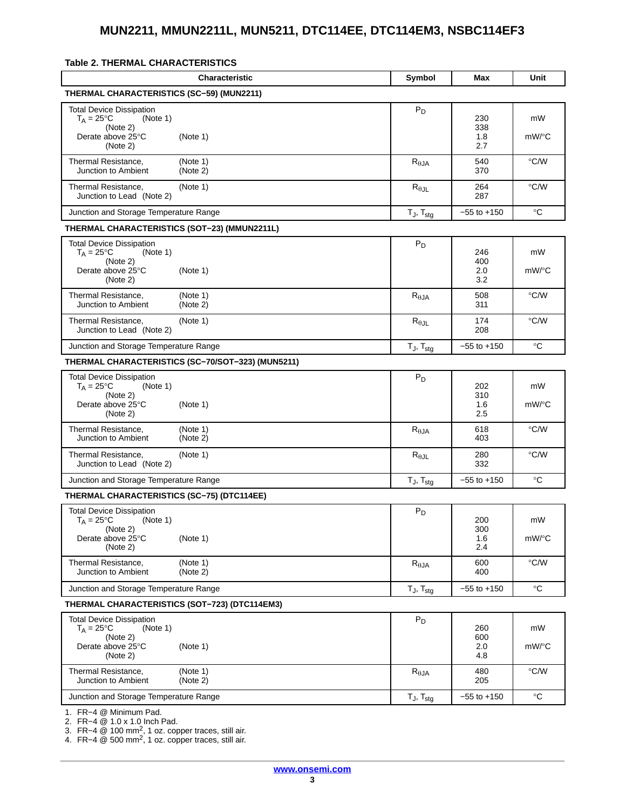#### <span id="page-2-0"></span>**Table 2. THERMAL CHARACTERISTICS**

| <b>Characteristic</b>                                                                                                       | Symbol                   | Max                      | Unit          |
|-----------------------------------------------------------------------------------------------------------------------------|--------------------------|--------------------------|---------------|
| THERMAL CHARACTERISTICS (SC-59) (MUN2211)                                                                                   |                          |                          |               |
| <b>Total Device Dissipation</b><br>$T_A = 25$ °C<br>(Note 1)<br>(Note 2)<br>Derate above 25°C<br>(Note 1)<br>(Note 2)       | $P_D$                    | 230<br>338<br>1.8<br>2.7 | mW<br>mW/°C   |
| Thermal Resistance,<br>(Note 1)<br>Junction to Ambient<br>(Note 2)                                                          | $R_{\theta JA}$          | 540<br>370               | $\degree$ C/W |
| Thermal Resistance,<br>(Note 1)<br>Junction to Lead (Note 2)                                                                | $R_{\theta$ JL           | 264<br>287               | $\degree$ C/W |
| Junction and Storage Temperature Range                                                                                      | $T_J$ , $T_{stg}$        | $-55$ to $+150$          | $^{\circ}C$   |
| THERMAL CHARACTERISTICS (SOT-23) (MMUN2211L)                                                                                |                          |                          |               |
| <b>Total Device Dissipation</b><br>$T_A = 25$ °C<br>(Note 1)<br>(Note 2)<br>Derate above 25°C<br>(Note 1)<br>(Note 2)       | $P_D$                    | 246<br>400<br>2.0<br>3.2 | mW<br>mW/°C   |
| Thermal Resistance,<br>(Note 1)<br>Junction to Ambient<br>(Note 2)                                                          | $R_{\theta JA}$          | 508<br>311               | $\degree$ C/W |
| Thermal Resistance,<br>(Note 1)<br>Junction to Lead (Note 2)                                                                | $R_{\theta$ JL           | 174<br>208               | °C/W          |
| Junction and Storage Temperature Range                                                                                      | $T_J$ , $T_{stg}$        | $-55$ to $+150$          | °C            |
| THERMAL CHARACTERISTICS (SC-70/SOT-323) (MUN5211)                                                                           |                          |                          |               |
| <b>Total Device Dissipation</b><br>$T_A = 25^{\circ}C$<br>(Note 1)<br>(Note 2)<br>Derate above 25°C<br>(Note 1)<br>(Note 2) | $P_D$                    | 202<br>310<br>1.6<br>2.5 | mW<br>mW/°C   |
| Thermal Resistance,<br>(Note 1)<br>Junction to Ambient<br>(Note 2)                                                          | $R_{\theta$ JA           | 618<br>403               | $\degree$ C/W |
| Thermal Resistance,<br>(Note 1)<br>Junction to Lead (Note 2)                                                                | $R_{\theta$ JL           | 280<br>332               | °C/W          |
| Junction and Storage Temperature Range                                                                                      | $T_J$ , $T_{stg}$        | $-55$ to $+150$          | °C            |
| <b>THERMAL CHARACTERISTICS (SC-75) (DTC114EE)</b>                                                                           |                          |                          |               |
| <b>Total Device Dissipation</b><br>$T_A = 25^{\circ}C$<br>(Note 1)<br>(Note 2)<br>Derate above 25°C<br>(Note 1)<br>(Note 2) | $P_D$                    | 200<br>300<br>1.6<br>2.4 | mW<br>mW/°C   |
| Thermal Resistance,<br>(Note 1)<br>Junction to Ambient<br>(Note 2)                                                          | $R_{\theta$ JA           | 600<br>400               | $\degree$ C/W |
| Junction and Storage Temperature Range                                                                                      | $T_J$ , $T_{stg}$        | $-55$ to $+150$          | $^{\circ}C$   |
| THERMAL CHARACTERISTICS (SOT-723) (DTC114EM3)                                                                               |                          |                          |               |
| <b>Total Device Dissipation</b><br>$T_A = 25^{\circ}C$<br>(Note 1)<br>(Note 2)<br>Derate above 25°C<br>(Note 1)<br>(Note 2) | $P_D$                    | 260<br>600<br>2.0<br>4.8 | mW<br>mW/°C   |
| Thermal Resistance,<br>(Note 1)<br>Junction to Ambient<br>(Note 2)                                                          | $R_{\theta JA}$          | 480<br>205               | $\degree$ C/W |
| Junction and Storage Temperature Range<br>1 $FD_A \otimes$ Minimum Dad                                                      | $T_J$ , $T_{\text{stg}}$ | $-55$ to $+150$          | $^{\circ}C$   |

[1](#page-3-0). FR−4 @ Minimum Pad.

[2](#page-3-0). FR−4 @ 1.0 x 1.0 Inch Pad. [3](#page-3-0). FR−4 @ 100 mm2, 1 oz. copper traces, still air.

[4](#page-3-0). FR−4 @ 500 mm2, 1 oz. copper traces, still air.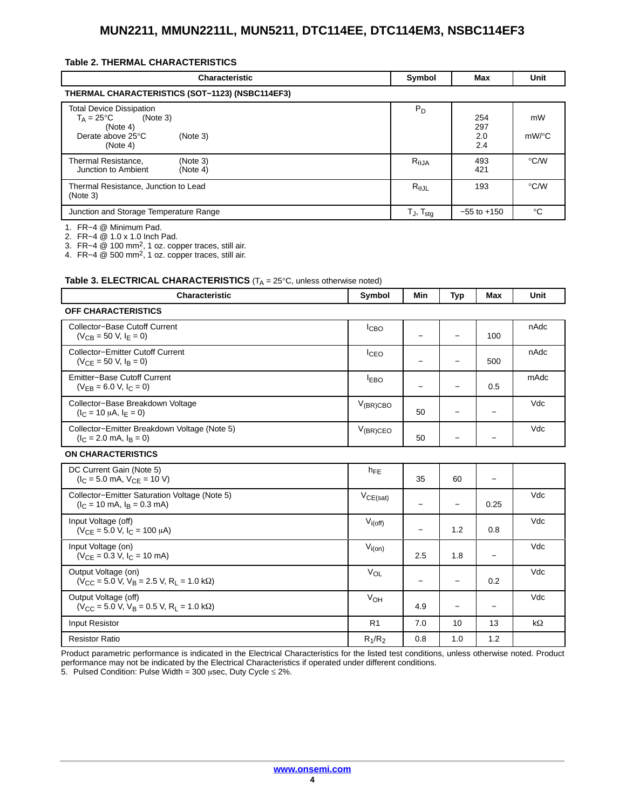#### <span id="page-3-0"></span>**Table [2.](#page-2-0) THERMAL CHARACTERISTICS**

| <b>Characteristic</b>                                                                                                                 | Symbol                            | Max                      | Unit               |
|---------------------------------------------------------------------------------------------------------------------------------------|-----------------------------------|--------------------------|--------------------|
| THERMAL CHARACTERISTICS (SOT-1123) (NSBC114EF3)                                                                                       |                                   |                          |                    |
| <b>Total Device Dissipation</b><br>$T_A = 25^{\circ}C$<br>(Note 3)<br>(Note 4)<br>Derate above $25^{\circ}$ C<br>(Note 3)<br>(Note 4) | $P_D$                             | 254<br>297<br>2.0<br>2.4 | mW<br>$mW$ /°C     |
| Thermal Resistance,<br>(Note 3)<br>Junction to Ambient<br>(Note 4)                                                                    | $R_{\theta JA}$                   | 493<br>421               | $\rm ^{\circ}$ C/W |
| Thermal Resistance, Junction to Lead<br>(Note 3)                                                                                      | $R_{\theta \text{JL}}$            | 193                      | $\rm ^{\circ}$ C/W |
| Junction and Storage Temperature Range                                                                                                | $T_{\text{J}}$ , $T_{\text{stg}}$ | $-55$ to $+150$          | $^{\circ}C$        |

1. FR−4 @ Minimum Pad.

2. FR-4 @ 1.0 x 1.0 Inch Pad.

3. FR−4  $@$  100 mm<sup>2</sup>, 1 oz. copper traces, still air.

4. FR−4 @ 500 mm2, 1 oz. copper traces, still air.

#### **Table 3. ELECTRICAL CHARACTERISTICS** (T<sub>A</sub> = 25°C, unless otherwise noted)

| <b>Characteristic</b>                                                                                              | Symbol           | Min                      | <b>Typ</b>               | <b>Max</b>        | Unit |
|--------------------------------------------------------------------------------------------------------------------|------------------|--------------------------|--------------------------|-------------------|------|
| <b>OFF CHARACTERISTICS</b>                                                                                         |                  |                          |                          |                   |      |
| <b>Collector-Base Cutoff Current</b><br>$(V_{CB} = 50 V, I_F = 0)$                                                 | I <sub>CBO</sub> | $\overline{\phantom{0}}$ | $\overline{\phantom{0}}$ | 100               | nAdc |
| <b>Collector-Emitter Cutoff Current</b><br>$(V_{CF} = 50 V, IB = 0)$                                               | I <sub>CEO</sub> | $\qquad \qquad -$        |                          | 500               | nAdc |
| Emitter-Base Cutoff Current<br>$(V_{FR} = 6.0 V, I_C = 0)$                                                         | <b>IEBO</b>      | $\qquad \qquad -$        | $\qquad \qquad -$        | 0.5               | mAdc |
| Collector-Base Breakdown Voltage<br>$(I_C = 10 \mu A, I_F = 0)$                                                    | $V_{(BR)CBO}$    | 50                       |                          |                   | Vdc  |
| Collector-Emitter Breakdown Voltage (Note 5)<br>$(I_C = 2.0$ mA, $I_R = 0$ )                                       | $V_{(BR)CEO}$    | 50                       |                          |                   | Vdc  |
| <b>ON CHARACTERISTICS</b>                                                                                          |                  |                          |                          |                   |      |
| DC Current Gain (Note 5)<br>$I_C = 5.0$ mA, $V_{CF} = 10$ V)                                                       | $h_{FE}$         | 35                       | 60                       |                   |      |
| Collector-Emitter Saturation Voltage (Note 5)<br>$(I_C = 10 \text{ mA}, I_R = 0.3 \text{ mA})$                     | $V_{CE(sat)}$    | $\qquad \qquad -$        | $\overline{\phantom{0}}$ | 0.25              | Vdc  |
| Input Voltage (off)<br>$(V_{CF} = 5.0 V, I_C = 100 \mu A)$                                                         | $V_{i(off)}$     | $\qquad \qquad -$        | 1.2                      | 0.8               | Vdc  |
| Input Voltage (on)<br>$(V_{CE} = 0.3 V, I_C = 10 mA)$                                                              | $V_{i(0n)}$      | 2.5                      | 1.8                      | $\qquad \qquad -$ | Vdc  |
| Output Voltage (on)<br>$(V_{\rm CC} = 5.0 \text{ V}, V_{\rm B} = 2.5 \text{ V}, R_{\rm I} = 1.0 \text{ k}\Omega)$  | $V_{\Omega}$     | $\overline{\phantom{m}}$ | $\qquad \qquad -$        | 0.2               | Vdc  |
| Output Voltage (off)<br>$(V_{\rm CC} = 5.0 \text{ V}, V_{\rm B} = 0.5 \text{ V}, R_{\rm I} = 1.0 \text{ k}\Omega)$ | V <sub>OH</sub>  | 4.9                      | $\qquad \qquad -$        | -                 | Vdc  |
| Input Resistor                                                                                                     | R <sub>1</sub>   | 7.0                      | 10                       | 13                | kΩ   |
| <b>Resistor Ratio</b>                                                                                              | $R_1/R_2$        | 0.8                      | 1.0                      | 1.2               |      |

Product parametric performance is indicated in the Electrical Characteristics for the listed test conditions, unless otherwise noted. Product performance may not be indicated by the Electrical Characteristics if operated under different conditions.

5. Pulsed Condition: Pulse Width = 300  $\mu$ sec, Duty Cycle  $\leq$  2%.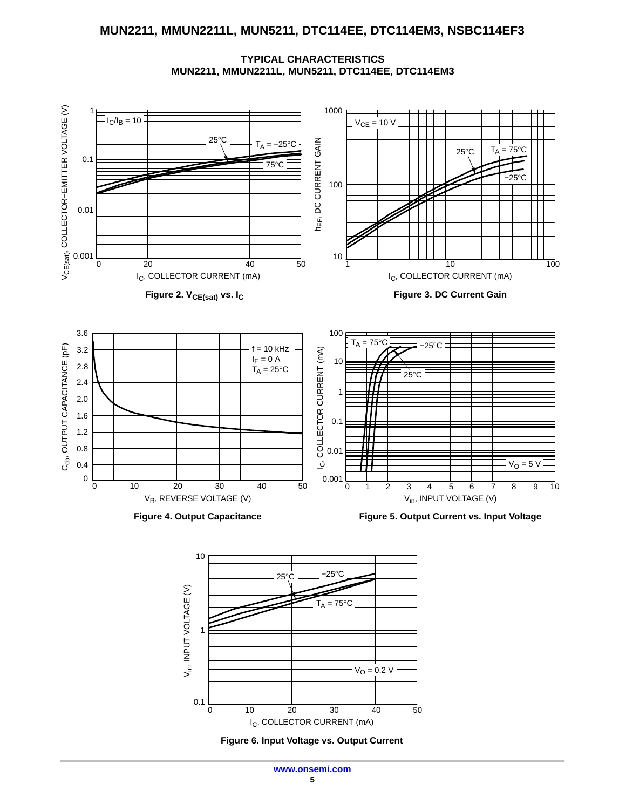**TYPICAL CHARACTERISTICS MUN2211, MMUN2211L, MUN5211, DTC114EE, DTC114EM3**





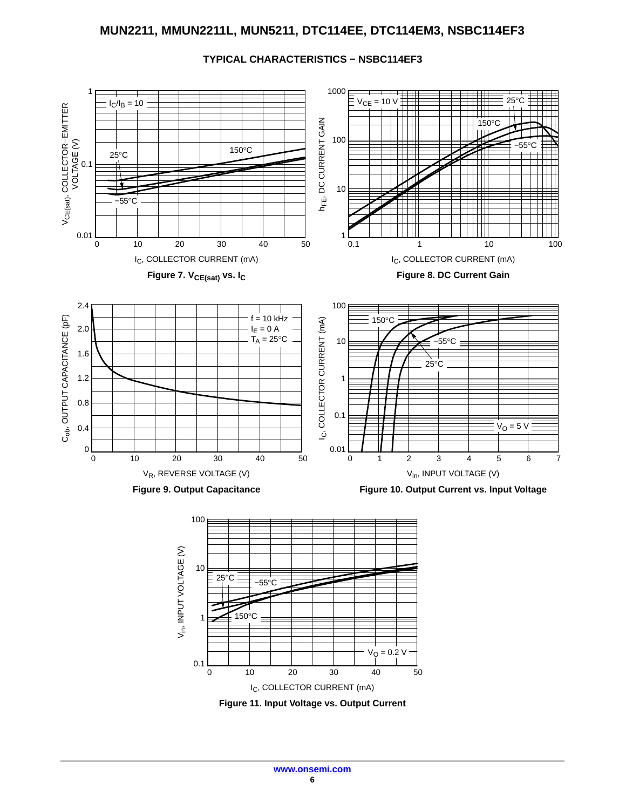

#### **TYPICAL CHARACTERISTICS − NSBC114EF3**

**[www.onsemi.com](http://www.onsemi.com/)**

**Figure 11. Input Voltage vs. Output Current** I<sub>C</sub>, COLLECTOR CURRENT (mA) 0 10 20 30 50 40

 $V_{\rm O} = 0.2 V$ 

0.1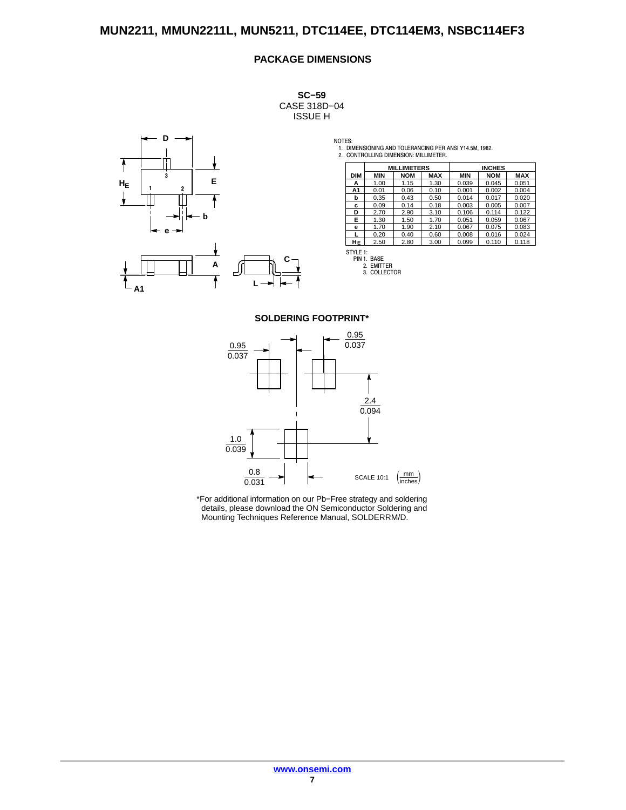#### **PACKAGE DIMENSIONS**

**SC−59** CASE 318D−04 ISSUE H



NOTES: 1. DIMENSIONING AND TOLERANCING PER ANSI Y14.5M, 1982. 2. CONTROLLING DIMENSION: MILLIMETER.

|            |            | <b>MILLIMETERS</b> |            |            | <b>INCHES</b> |            |
|------------|------------|--------------------|------------|------------|---------------|------------|
| <b>DIM</b> | <b>MIN</b> | <b>NOM</b>         | <b>MAX</b> | <b>MIN</b> | <b>NOM</b>    | <b>MAX</b> |
| А          | 1.00       | 1.15               | 1.30       | 0.039      | 0.045         | 0.051      |
| A1         | 0.01       | 0.06               | 0.10       | 0.001      | 0.002         | 0.004      |
| b          | 0.35       | 0.43               | 0.50       | 0.014      | 0.017         | 0.020      |
| c          | 0.09       | 0.14               | 0.18       | 0.003      | 0.005         | 0.007      |
| D          | 2.70       | 2.90               | 3.10       | 0.106      | 0.114         | 0.122      |
| Е          | 1.30       | 1.50               | 1.70       | 0.051      | 0.059         | 0.067      |
| е          | 1.70       | 1.90               | 2.10       | 0.067      | 0.075         | 0.083      |
|            | 0.20       | 0.40               | 0.60       | 0.008      | 0.016         | 0.024      |
| HЕ         | 2.50       | 2.80               | 3.00       | 0.099      | 0.110         | 0.118      |

STYLE 1: PIN 1. BASE 2. EMITTER 3. COLLECTOR

#### **SOLDERING FOOTPRINT\***

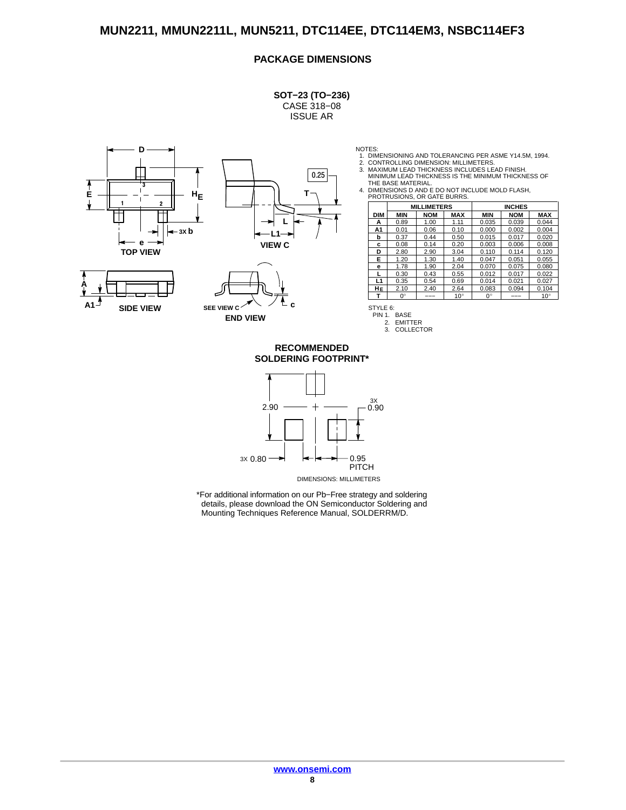#### **PACKAGE DIMENSIONS**

**SOT−23 (TO−236)**

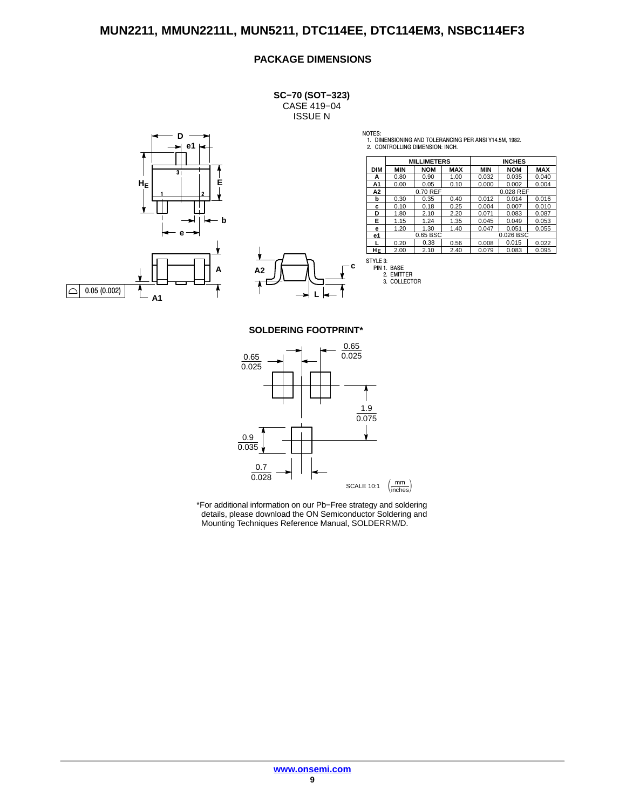#### **PACKAGE DIMENSIONS**

**SC−70 (SOT−323)** CASE 419−04 ISSUE N



**c L**

NOTES: 1. DIMENSIONING AND TOLERANCING PER ANSI Y14.5M, 1982. 2. CONTROLLING DIMENSION: INCH.

|            |            | <b>MILLIMETERS</b> |            |            | <b>INCHES</b> |            |
|------------|------------|--------------------|------------|------------|---------------|------------|
| <b>DIM</b> | <b>MIN</b> | <b>NOM</b>         | <b>MAX</b> | <b>MIN</b> | <b>NOM</b>    | <b>MAX</b> |
| А          | 0.80       | 0.90               | 1.00       | 0.032      | 0.035         | 0.040      |
| A1         | 0.00       | 0.05               | 0.10       | 0.000      | 0.002         | 0.004      |
| A2         |            | 0.70 REF           |            |            | 0.028 REF     |            |
| b          | 0.30       | 0.35               | 0.40       | 0.012      | 0.014         | 0.016      |
| с          | 0.10       | 0.18               | 0.25       | 0.004      | 0.007         | 0.010      |
| D          | 1.80       | 2.10               | 2.20       | 0.071      | 0.083         | 0.087      |
| Е          | 1.15       | 1.24               | 1.35       | 0.045      | 0.049         | 0.053      |
| е          | 1.20       | 1.30               | 1.40       | 0.047      | 0.051         | 0.055      |
| e1         |            | 0.65 BSC           |            |            | 0.026 BSC     |            |
|            | 0.20       | 0.38               | 0.56       | 0.008      | 0.015         | 0.022      |
| HЕ         | 2.00       | 2.10               | 2.40       | 0.079      | 0.083         | 0.095      |



STYLE 3: PIN 1. BASE 2. EMITTER 3. COLLECTOR

**SOLDERING FOOTPRINT\***

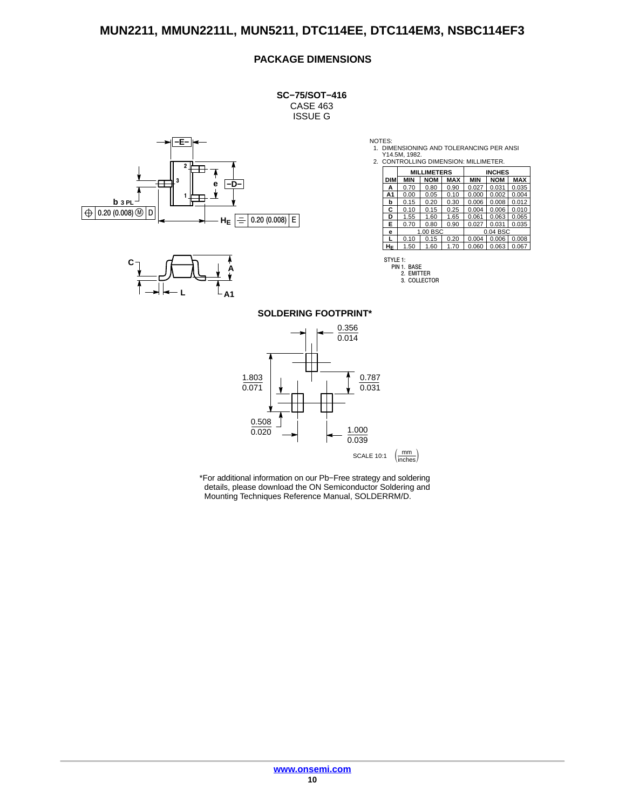#### **PACKAGE DIMENSIONS**

**SC−75/SOT−416** CASE 463 ISSUE G





NOTES: 1. DIMENSIONING AND TOLERANCING PER ANSI Y14.5M, 1982. 2. CONTROLLING DIMENSION: MILLIMETER.

| CONTROLLING DIMENSION, MILLIMETER. |                    |            |            |               |            |            |
|------------------------------------|--------------------|------------|------------|---------------|------------|------------|
|                                    | <b>MILLIMETERS</b> |            |            | <b>INCHES</b> |            |            |
| <b>DIM</b>                         | <b>MIN</b>         | <b>NOM</b> | <b>MAX</b> | <b>MIN</b>    | <b>NOM</b> | <b>MAX</b> |
| A                                  | 0.70               | 0.80       | 0.90       | 0.027         | 0.031      | 0.035      |
| Α1                                 | 0.00               | 0.05       | 0.10       | 0.000         | 0.002      | 0.004      |
| b                                  | 0.15               | 0.20       | 0.30       | 0.006         | 0.008      | 0.012      |
| C                                  | 0.10               | 0.15       | 0.25       | 0.004         | 0.006      | 0.010      |
| D                                  | 1.55               | 1.60       | 1.65       | 0.061         | 0.063      | 0.065      |
| Е                                  | 0.70               | 0.80       | 0.90       | 0.027         | 0.031      | 0.035      |
| е                                  |                    | 1.00 BSC   |            |               | 0.04 BSC   |            |
|                                    | 0.10               | 0.15       | 0.20       | 0.004         | 0.006      | 0.008      |
| НF                                 | 1.50               | 1.60       | 1.70       | 0.060         | 0.063      | 0.067      |



STYLE 1: PIN 1. BASE 2. EMITTER 3. COLLECTOR

**SOLDERING FOOTPRINT\***

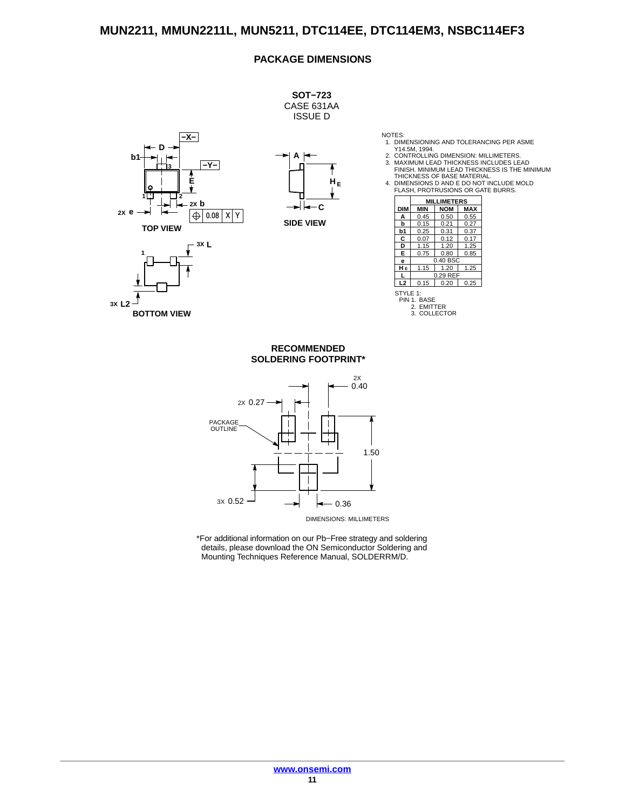#### **PACKAGE DIMENSIONS**



**3X L2**

**BOTTOM VIEW**

NOTES: 1. DIMENSIONING AND TOLERANCING PER ASME Y14.5M, 1994. 2. CONTROLLING DIMENSION: MILLIMETERS. 3. MAXIMUM LEAD THICKNESS INCLUDES LEAD

FINISH. MINIMUM LEAD THICKNESS IS THE MINIMUM THICKNESS OF BASE MATERIAL.

# 4. DIMENSIONS D AND E DO NOT INCLUDE MOLD FLASH, PROTRUSIONS OR GATE BURRS.

|            | <b>MILLIMETERS</b>              |                  |            |
|------------|---------------------------------|------------------|------------|
| <b>DIM</b> | <b>MIN</b>                      | <b>NOM</b>       | <b>MAX</b> |
| А          | 0.45                            | 0.50             | 0.55       |
| b          | 0.15                            | 0.21             | 0.27       |
| b1         | 0.25                            | 0.31             | 0.37       |
| C          | 0.07                            | 0.12             | 0.17       |
| D          | 1.15                            | 1.20             | 1.25       |
| E          | 0.75                            | 0.80             | 0.85       |
| е          |                                 | $0.40$ BSC       |            |
| HЕ         | 1.15                            | 1.20             | 1.25       |
|            |                                 | 0.29 REF         |            |
| L2         | 0.15                            | 0.20             | 0.25       |
| STYLE 1:   | PIN 1. BASE<br>2. EMITTER<br>3. | <b>COLLECTOR</b> |            |

**SOLDERING FOOTPRINT\* RECOMMENDED**



DIMENSIONS: MILLIMETERS